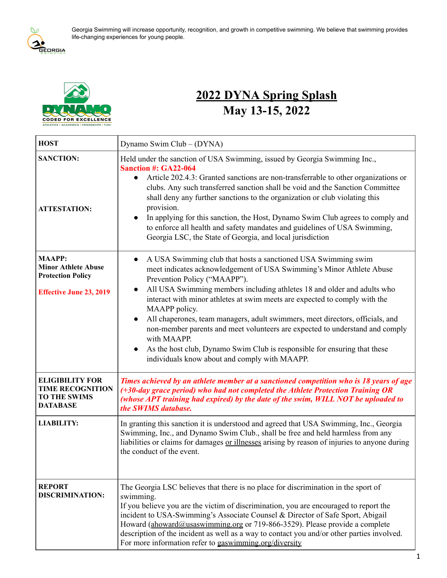

Georgia Swimming will increase opportunity, recognition, and growth in competitive swimming. We believe that swimming provides life-changing experiences for young people.



# **2022 DYNA Spring Splash May 13-15, 2022**

| <b>HOST</b>                                                                                               | Dynamo Swim Club - (DYNA)                                                                                                                                                                                                                                                                                                                                                                                                                                                                                                                                                                                                                                                  |  |  |
|-----------------------------------------------------------------------------------------------------------|----------------------------------------------------------------------------------------------------------------------------------------------------------------------------------------------------------------------------------------------------------------------------------------------------------------------------------------------------------------------------------------------------------------------------------------------------------------------------------------------------------------------------------------------------------------------------------------------------------------------------------------------------------------------------|--|--|
| <b>SANCTION:</b><br><b>ATTESTATION:</b>                                                                   | Held under the sanction of USA Swimming, issued by Georgia Swimming Inc.,<br><b>Sanction #: GA22-064</b><br>Article 202.4.3: Granted sanctions are non-transferrable to other organizations or<br>clubs. Any such transferred sanction shall be void and the Sanction Committee<br>shall deny any further sanctions to the organization or club violating this<br>provision.<br>In applying for this sanction, the Host, Dynamo Swim Club agrees to comply and<br>to enforce all health and safety mandates and guidelines of USA Swimming,<br>Georgia LSC, the State of Georgia, and local jurisdiction                                                                   |  |  |
| <b>MAAPP:</b><br><b>Minor Athlete Abuse</b><br><b>Protection Policy</b><br><b>Effective June 23, 2019</b> | A USA Swimming club that hosts a sanctioned USA Swimming swim<br>$\bullet$<br>meet indicates acknowledgement of USA Swimming's Minor Athlete Abuse<br>Prevention Policy ("MAAPP").<br>All USA Swimming members including athletes 18 and older and adults who<br>interact with minor athletes at swim meets are expected to comply with the<br>MAAPP policy.<br>All chaperones, team managers, adult swimmers, meet directors, officials, and<br>non-member parents and meet volunteers are expected to understand and comply<br>with MAAPP.<br>As the host club, Dynamo Swim Club is responsible for ensuring that these<br>individuals know about and comply with MAAPP. |  |  |
| <b>ELIGIBILITY FOR</b><br><b>TIME RECOGNITION</b><br><b>TO THE SWIMS</b><br><b>DATABASE</b>               | Times achieved by an athlete member at a sanctioned competition who is 18 years of age<br>(+30-day grace period) who had not completed the Athlete Protection Training OR<br>(whose APT training had expired) by the date of the swim, WILL NOT be uploaded to<br>the SWIMS database.                                                                                                                                                                                                                                                                                                                                                                                      |  |  |
| <b>LIABILITY:</b>                                                                                         | In granting this sanction it is understood and agreed that USA Swimming, Inc., Georgia<br>Swimming, Inc., and Dynamo Swim Club., shall be free and held harmless from any<br>liabilities or claims for damages or illnesses arising by reason of injuries to anyone during<br>the conduct of the event.                                                                                                                                                                                                                                                                                                                                                                    |  |  |
| <b>REPORT</b><br><b>DISCRIMINATION:</b>                                                                   | The Georgia LSC believes that there is no place for discrimination in the sport of<br>swimming.<br>If you believe you are the victim of discrimination, you are encouraged to report the<br>incident to USA-Swimming's Associate Counsel & Director of Safe Sport, Abigail<br>Howard (ahoward@usaswimming.org or 719-866-3529). Please provide a complete<br>description of the incident as well as a way to contact you and/or other parties involved.<br>For more information refer to gaswimming.org/diversity                                                                                                                                                          |  |  |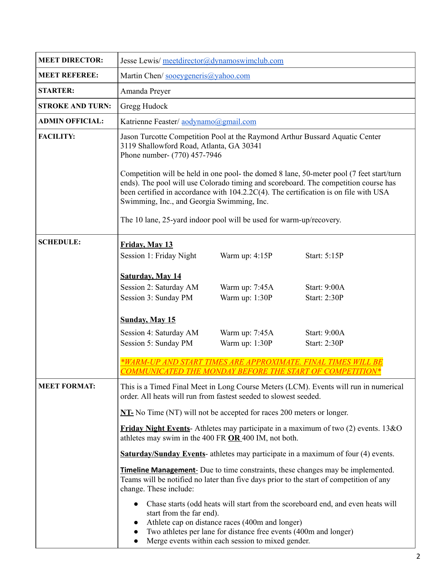| <b>MEET DIRECTOR:</b>   | Jesse Lewis/ meetdirector@dynamoswimclub.com                                                                                                                                                                                                                                                                          |  |  |  |  |
|-------------------------|-----------------------------------------------------------------------------------------------------------------------------------------------------------------------------------------------------------------------------------------------------------------------------------------------------------------------|--|--|--|--|
| <b>MEET REFEREE:</b>    | Martin Chen/ sooeygeneris@yahoo.com                                                                                                                                                                                                                                                                                   |  |  |  |  |
| <b>STARTER:</b>         | Amanda Preyer                                                                                                                                                                                                                                                                                                         |  |  |  |  |
| <b>STROKE AND TURN:</b> | Gregg Hudock                                                                                                                                                                                                                                                                                                          |  |  |  |  |
| <b>ADMIN OFFICIAL:</b>  | Katrienne Feaster/ aodynamo@gmail.com                                                                                                                                                                                                                                                                                 |  |  |  |  |
| <b>FACILITY:</b>        | Jason Turcotte Competition Pool at the Raymond Arthur Bussard Aquatic Center<br>3119 Shallowford Road, Atlanta, GA 30341<br>Phone number- (770) 457-7946                                                                                                                                                              |  |  |  |  |
|                         | Competition will be held in one pool- the domed 8 lane, 50-meter pool (7 feet start/turn<br>ends). The pool will use Colorado timing and scoreboard. The competition course has<br>been certified in accordance with 104.2.2C(4). The certification is on file with USA<br>Swimming, Inc., and Georgia Swimming, Inc. |  |  |  |  |
|                         | The 10 lane, 25-yard indoor pool will be used for warm-up/recovery.                                                                                                                                                                                                                                                   |  |  |  |  |
| <b>SCHEDULE:</b>        | Friday, May 13<br>Session 1: Friday Night<br>Warm up: 4:15P<br>Start: 5:15P                                                                                                                                                                                                                                           |  |  |  |  |
|                         | <b>Saturday, May 14</b><br>Session 2: Saturday AM<br>Warm up: 7:45A<br><b>Start: 9:00A</b><br>Warm up: 1:30P<br>Session 3: Sunday PM<br><b>Start: 2:30P</b>                                                                                                                                                           |  |  |  |  |
|                         | <b>Sunday, May 15</b><br>Session 4: Saturday AM<br>Warm up: 7:45A<br><b>Start: 9:00A</b><br>Warm up: 1:30P<br>Session 5: Sunday PM<br><b>Start: 2:30P</b>                                                                                                                                                             |  |  |  |  |
|                         | *WARM-UP AND START TIMES ARE APPROXIM.<br>COMMUNICATED THE MONDAY BEFORE THE START OF COMPETITION*                                                                                                                                                                                                                    |  |  |  |  |
| <b>MEET FORMAT:</b>     | This is a Timed Final Meet in Long Course Meters (LCM). Events will run in numerical<br>order. All heats will run from fastest seeded to slowest seeded.                                                                                                                                                              |  |  |  |  |
|                         | $NT$ - No Time (NT) will not be accepted for races 200 meters or longer.                                                                                                                                                                                                                                              |  |  |  |  |
|                         | <b>Friday Night Events</b> -Athletes may participate in a maximum of two $(2)$ events. 13&O<br>athletes may swim in the 400 FR OR 400 IM, not both.                                                                                                                                                                   |  |  |  |  |
|                         | <b>Saturday/Sunday Events</b> -athletes may participate in a maximum of four (4) events.                                                                                                                                                                                                                              |  |  |  |  |
|                         | <b>Timeline Management</b> - Due to time constraints, these changes may be implemented.<br>Teams will be notified no later than five days prior to the start of competition of any<br>change. These include:                                                                                                          |  |  |  |  |
|                         | Chase starts (odd heats will start from the scoreboard end, and even heats will<br>start from the far end).<br>Athlete cap on distance races (400m and longer)<br>Two athletes per lane for distance free events (400m and longer)<br>Merge events within each session to mixed gender.                               |  |  |  |  |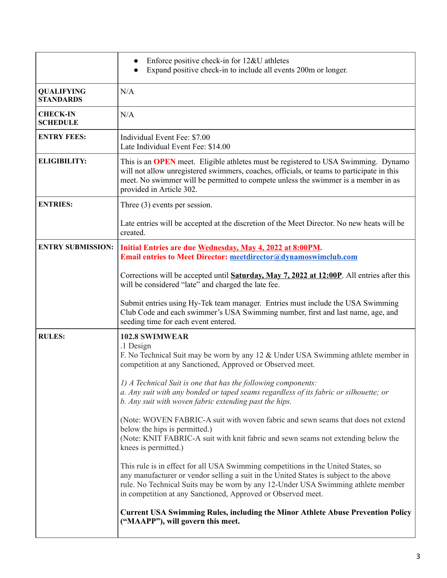|                                       | Enforce positive check-in for 12&U athletes<br>Expand positive check-in to include all events 200m or longer.                                                                                                                                                                                                                   |
|---------------------------------------|---------------------------------------------------------------------------------------------------------------------------------------------------------------------------------------------------------------------------------------------------------------------------------------------------------------------------------|
| <b>QUALIFYING</b><br><b>STANDARDS</b> | N/A                                                                                                                                                                                                                                                                                                                             |
| <b>CHECK-IN</b><br><b>SCHEDULE</b>    | N/A                                                                                                                                                                                                                                                                                                                             |
| <b>ENTRY FEES:</b>                    | Individual Event Fee: \$7.00<br>Late Individual Event Fee: \$14.00                                                                                                                                                                                                                                                              |
| <b>ELIGIBILITY:</b>                   | This is an <b>OPEN</b> meet. Eligible athletes must be registered to USA Swimming. Dynamo<br>will not allow unregistered swimmers, coaches, officials, or teams to participate in this<br>meet. No swimmer will be permitted to compete unless the swimmer is a member in as<br>provided in Article 302.                        |
| <b>ENTRIES:</b>                       | Three $(3)$ events per session.                                                                                                                                                                                                                                                                                                 |
|                                       | Late entries will be accepted at the discretion of the Meet Director. No new heats will be<br>created.                                                                                                                                                                                                                          |
| <b>ENTRY SUBMISSION:</b>              | Initial Entries are due Wednesday, May 4, 2022 at 8:00PM.<br><b>Email entries to Meet Director: meetdirector@dynamoswimclub.com</b>                                                                                                                                                                                             |
|                                       | Corrections will be accepted until <b>Saturday, May 7, 2022 at 12:00P</b> . All entries after this<br>will be considered "late" and charged the late fee.                                                                                                                                                                       |
|                                       | Submit entries using Hy-Tek team manager. Entries must include the USA Swimming<br>Club Code and each swimmer's USA Swimming number, first and last name, age, and<br>seeding time for each event entered.                                                                                                                      |
| <b>RULES:</b>                         | <b>102.8 SWIMWEAR</b><br>.1 Design<br>F. No Technical Suit may be worn by any 12 & Under USA Swimming athlete member in<br>competition at any Sanctioned, Approved or Observed meet.                                                                                                                                            |
|                                       | 1) A Technical Suit is one that has the following components:<br>a. Any suit with any bonded or taped seams regardless of its fabric or silhouette; or<br>b. Any suit with woven fabric extending past the hips.                                                                                                                |
|                                       | (Note: WOVEN FABRIC-A suit with woven fabric and sewn seams that does not extend<br>below the hips is permitted.)<br>(Note: KNIT FABRIC-A suit with knit fabric and sewn seams not extending below the<br>knees is permitted.)                                                                                                  |
|                                       | This rule is in effect for all USA Swimming competitions in the United States, so<br>any manufacturer or vendor selling a suit in the United States is subject to the above<br>rule. No Technical Suits may be worn by any 12-Under USA Swimming athlete member<br>in competition at any Sanctioned, Approved or Observed meet. |
|                                       | <b>Current USA Swimming Rules, including the Minor Athlete Abuse Prevention Policy</b><br>("MAAPP"), will govern this meet.                                                                                                                                                                                                     |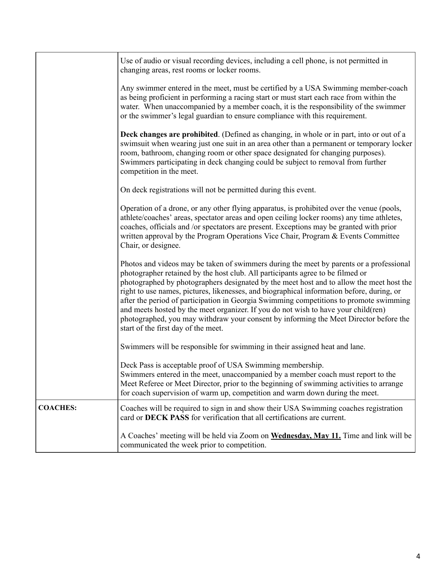|                 | Use of audio or visual recording devices, including a cell phone, is not permitted in<br>changing areas, rest rooms or locker rooms.                                                                                                                                                                                                                                                                                                                                                                                                                                                                                                                                               |  |  |  |
|-----------------|------------------------------------------------------------------------------------------------------------------------------------------------------------------------------------------------------------------------------------------------------------------------------------------------------------------------------------------------------------------------------------------------------------------------------------------------------------------------------------------------------------------------------------------------------------------------------------------------------------------------------------------------------------------------------------|--|--|--|
|                 | Any swimmer entered in the meet, must be certified by a USA Swimming member-coach<br>as being proficient in performing a racing start or must start each race from within the<br>water. When unaccompanied by a member coach, it is the responsibility of the swimmer<br>or the swimmer's legal guardian to ensure compliance with this requirement.                                                                                                                                                                                                                                                                                                                               |  |  |  |
|                 | Deck changes are prohibited. (Defined as changing, in whole or in part, into or out of a<br>swimsuit when wearing just one suit in an area other than a permanent or temporary locker<br>room, bathroom, changing room or other space designated for changing purposes).<br>Swimmers participating in deck changing could be subject to removal from further<br>competition in the meet.                                                                                                                                                                                                                                                                                           |  |  |  |
|                 | On deck registrations will not be permitted during this event.                                                                                                                                                                                                                                                                                                                                                                                                                                                                                                                                                                                                                     |  |  |  |
|                 | Operation of a drone, or any other flying apparatus, is prohibited over the venue (pools,<br>athlete/coaches' areas, spectator areas and open ceiling locker rooms) any time athletes,<br>coaches, officials and /or spectators are present. Exceptions may be granted with prior<br>written approval by the Program Operations Vice Chair, Program & Events Committee<br>Chair, or designee.                                                                                                                                                                                                                                                                                      |  |  |  |
|                 | Photos and videos may be taken of swimmers during the meet by parents or a professional<br>photographer retained by the host club. All participants agree to be filmed or<br>photographed by photographers designated by the meet host and to allow the meet host the<br>right to use names, pictures, likenesses, and biographical information before, during, or<br>after the period of participation in Georgia Swimming competitions to promote swimming<br>and meets hosted by the meet organizer. If you do not wish to have your child(ren)<br>photographed, you may withdraw your consent by informing the Meet Director before the<br>start of the first day of the meet. |  |  |  |
|                 | Swimmers will be responsible for swimming in their assigned heat and lane.                                                                                                                                                                                                                                                                                                                                                                                                                                                                                                                                                                                                         |  |  |  |
|                 | Deck Pass is acceptable proof of USA Swimming membership.<br>Swimmers entered in the meet, unaccompanied by a member coach must report to the<br>Meet Referee or Meet Director, prior to the beginning of swimming activities to arrange<br>for coach supervision of warm up, competition and warm down during the meet.                                                                                                                                                                                                                                                                                                                                                           |  |  |  |
| <b>COACHES:</b> | Coaches will be required to sign in and show their USA Swimming coaches registration<br>card or DECK PASS for verification that all certifications are current.                                                                                                                                                                                                                                                                                                                                                                                                                                                                                                                    |  |  |  |
|                 | A Coaches' meeting will be held via Zoom on Wednesday, May 11. Time and link will be<br>communicated the week prior to competition.                                                                                                                                                                                                                                                                                                                                                                                                                                                                                                                                                |  |  |  |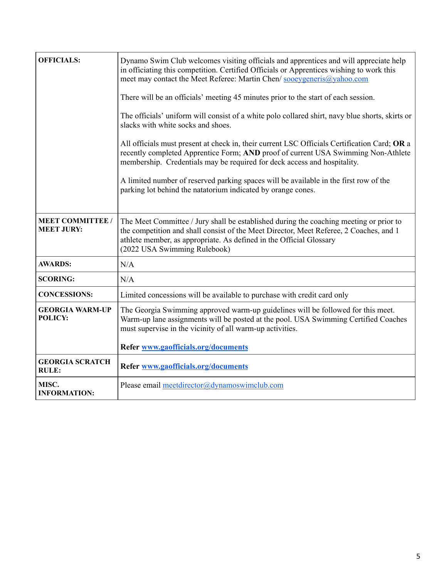| <b>OFFICIALS:</b>                            | Dynamo Swim Club welcomes visiting officials and apprentices and will appreciate help<br>in officiating this competition. Certified Officials or Apprentices wishing to work this<br>meet may contact the Meet Referee: Martin Chen/ sooeygeneris@yahoo.com                             |  |  |  |
|----------------------------------------------|-----------------------------------------------------------------------------------------------------------------------------------------------------------------------------------------------------------------------------------------------------------------------------------------|--|--|--|
|                                              | There will be an officials' meeting 45 minutes prior to the start of each session.                                                                                                                                                                                                      |  |  |  |
|                                              | The officials' uniform will consist of a white polo collared shirt, navy blue shorts, skirts or<br>slacks with white socks and shoes.                                                                                                                                                   |  |  |  |
|                                              | All officials must present at check in, their current LSC Officials Certification Card; OR a<br>recently completed Apprentice Form; AND proof of current USA Swimming Non-Athlete<br>membership. Credentials may be required for deck access and hospitality.                           |  |  |  |
|                                              | A limited number of reserved parking spaces will be available in the first row of the<br>parking lot behind the natatorium indicated by orange cones.                                                                                                                                   |  |  |  |
| <b>MEET COMMITTEE /</b><br><b>MEET JURY:</b> | The Meet Committee / Jury shall be established during the coaching meeting or prior to<br>the competition and shall consist of the Meet Director, Meet Referee, 2 Coaches, and 1<br>athlete member, as appropriate. As defined in the Official Glossary<br>(2022 USA Swimming Rulebook) |  |  |  |
| <b>AWARDS:</b>                               | N/A                                                                                                                                                                                                                                                                                     |  |  |  |
| <b>SCORING:</b>                              | N/A                                                                                                                                                                                                                                                                                     |  |  |  |
| <b>CONCESSIONS:</b>                          | Limited concessions will be available to purchase with credit card only                                                                                                                                                                                                                 |  |  |  |
| <b>GEORGIA WARM-UP</b><br>POLICY:            | The Georgia Swimming approved warm-up guidelines will be followed for this meet.<br>Warm-up lane assignments will be posted at the pool. USA Swimming Certified Coaches<br>must supervise in the vicinity of all warm-up activities.                                                    |  |  |  |
|                                              | Refer www.gaofficials.org/documents                                                                                                                                                                                                                                                     |  |  |  |
| <b>GEORGIA SCRATCH</b><br><b>RULE:</b>       | Refer www.gaofficials.org/documents                                                                                                                                                                                                                                                     |  |  |  |
| MISC.<br><b>INFORMATION:</b>                 | Please email meetdirector@dynamoswimclub.com                                                                                                                                                                                                                                            |  |  |  |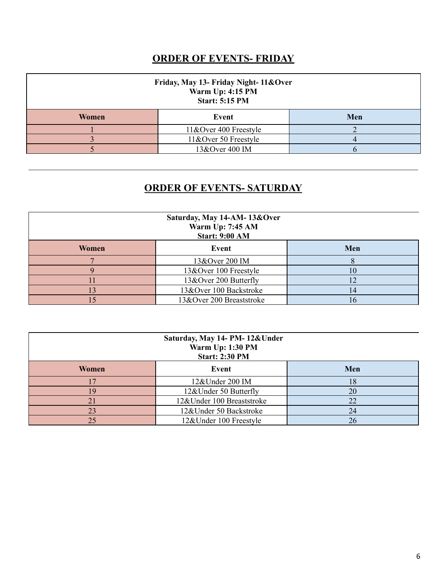### **ORDER OF EVENTS- FRIDAY**

| Friday, May 13- Friday Night- 11&Over<br>Warm Up: 4:15 PM<br><b>Start: 5:15 PM</b> |                       |     |  |
|------------------------------------------------------------------------------------|-----------------------|-----|--|
| Women                                                                              | Event                 | Men |  |
|                                                                                    | 11&Over 400 Freestyle |     |  |
|                                                                                    | 11&Over 50 Freestyle  |     |  |
|                                                                                    | 13&Over 400 IM        |     |  |

#### **ORDER OF EVENTS- SATURDAY**

| Saturday, May 14-AM-13&Over<br>Warm Up: 7:45 AM<br><b>Start: 9:00 AM</b> |                          |     |  |
|--------------------------------------------------------------------------|--------------------------|-----|--|
| Women<br>Event                                                           |                          | Men |  |
|                                                                          | 13&Over 200 IM           |     |  |
|                                                                          | 13&Over 100 Freestyle    | 10  |  |
|                                                                          | 13&Over 200 Butterfly    |     |  |
|                                                                          | 13&Over 100 Backstroke   | 14  |  |
|                                                                          | 13&Over 200 Breaststroke | 16  |  |

| Saturday, May 14- PM-12&Under<br><b>Warm Up: 1:30 PM</b><br><b>Start: 2:30 PM</b> |                           |     |  |
|-----------------------------------------------------------------------------------|---------------------------|-----|--|
| Event<br>Women                                                                    |                           | Men |  |
|                                                                                   | 12&Under 200 IM           | 18  |  |
| <b>Q</b>                                                                          | 12&Under 50 Butterfly     | 20  |  |
|                                                                                   | 12&Under 100 Breaststroke | 22  |  |
| 23                                                                                | 12&Under 50 Backstroke    | 24  |  |
| 25                                                                                | 12&Under 100 Freestyle    | 26  |  |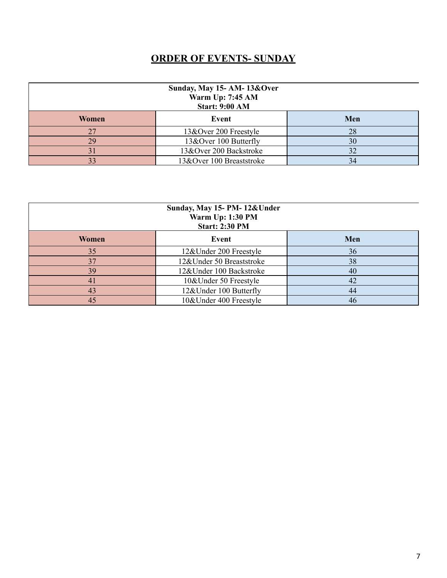### **ORDER OF EVENTS- SUNDAY**

| Sunday, May 15- AM-13&Over<br><b>Warm Up: 7:45 AM</b><br><b>Start: 9:00 AM</b> |                          |     |  |
|--------------------------------------------------------------------------------|--------------------------|-----|--|
| Women<br>Event                                                                 |                          | Men |  |
|                                                                                | 13&Over 200 Freestyle    | 28  |  |
| 29                                                                             | 13&Over 100 Butterfly    | 30  |  |
|                                                                                | 13&Over 200 Backstroke   | 32  |  |
| 33                                                                             | 13&Over 100 Breaststroke | 34  |  |

| Sunday, May 15- PM-12&Under<br><b>Warm Up: 1:30 PM</b><br><b>Start: 2:30 PM</b> |                          |     |  |
|---------------------------------------------------------------------------------|--------------------------|-----|--|
| Women                                                                           | Event                    | Men |  |
| 35                                                                              | 12&Under 200 Freestyle   | 36  |  |
| 37                                                                              | 12&Under 50 Breaststroke | 38  |  |
| 39                                                                              | 12&Under 100 Backstroke  | 40  |  |
| 41                                                                              | 10&Under 50 Freestyle    | 42  |  |
| 43                                                                              | 12&Under 100 Butterfly   | 44  |  |
| 45                                                                              | 10&Under 400 Freestyle   | 46  |  |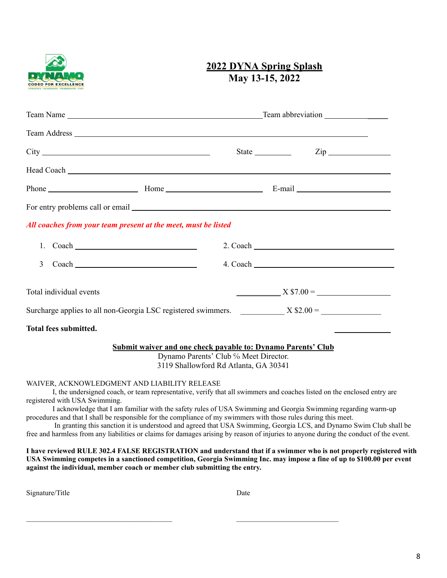

#### **2022 DYNA Spring Splash May 13-15, 2022**

|                         |                                                                                                                                                       |  | $\mathsf{Zip} \_\_\_\_\_\_\_\$                                                                                                                                                                                                 |
|-------------------------|-------------------------------------------------------------------------------------------------------------------------------------------------------|--|--------------------------------------------------------------------------------------------------------------------------------------------------------------------------------------------------------------------------------|
|                         |                                                                                                                                                       |  | Head Coach Lease and Coach Lease and Coach Lease and Coach Lease and Coach Lease and Coach Lease and Coach Lease and Coach Lease and Coach Lease and Coach Lease and Coach Lease and Coach Lease and Coach Lease and Coach Lea |
|                         |                                                                                                                                                       |  |                                                                                                                                                                                                                                |
|                         |                                                                                                                                                       |  |                                                                                                                                                                                                                                |
|                         | All coaches from your team present at the meet, must be listed                                                                                        |  |                                                                                                                                                                                                                                |
|                         |                                                                                                                                                       |  | $2. \text{ Coach}$                                                                                                                                                                                                             |
| 3                       |                                                                                                                                                       |  | $4. \text{ Coach }$                                                                                                                                                                                                            |
| Total individual events |                                                                                                                                                       |  | $X$ \$7.00 =                                                                                                                                                                                                                   |
|                         |                                                                                                                                                       |  | Surcharge applies to all non-Georgia LSC registered swimmers. $X $2.00 =$                                                                                                                                                      |
| Total fees submitted.   |                                                                                                                                                       |  |                                                                                                                                                                                                                                |
|                         | <b>Submit waiver and one check payable to: Dynamo Parents' Club</b><br>Dynamo Parents' Club % Meet Director.<br>3119 Shallowford Rd Atlanta, GA 30341 |  |                                                                                                                                                                                                                                |
|                         | WAIVER, ACKNOWLEDGMENT AND LIABILITY RELEASE                                                                                                          |  | I, the undersigned coach, or team representative, verify that all swimmers and coaches listed on the enclosed entry are                                                                                                        |

registered with USA Swimming. I acknowledge that I am familiar with the safety rules of USA Swimming and Georgia Swimming regarding warm-up

procedures and that I shall be responsible for the compliance of my swimmers with those rules during this meet.

In granting this sanction it is understood and agreed that USA Swimming, Georgia LCS, and Dynamo Swim Club shall be free and harmless from any liabilities or claims for damages arising by reason of injuries to anyone during the conduct of the event.

I have reviewed RULE 302.4 FALSE REGISTRATION and understand that if a swimmer who is not properly registered with USA Swimming competes in a sanctioned competition, Georgia Swimming Inc. may impose a fine of up to \$100.00 per event **against the individual, member coach or member club submitting the entry.**

Signature/Title Date